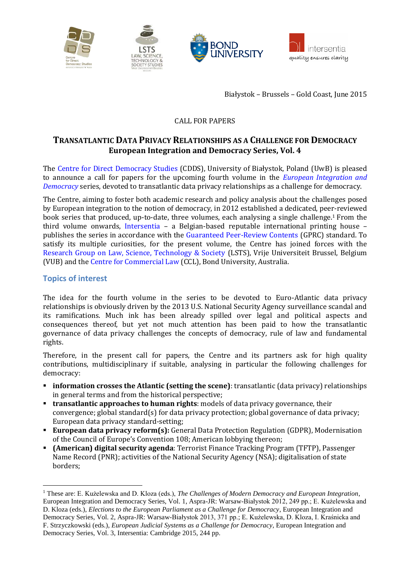

Białystok – Brussels – Gold Coast, June 2015

### CALL FOR PAPERS

# **TRANSATLANTIC DATA PRIVACY RELATIONSHIPS AS A CHALLENGE FOR DEMOCRACY European Integration and Democracy Series, Vol. 4**

The [Centre for Direct Democracy Studies](http://www.prawo.uwb.edu.pl/cdds) (CDDS), University of Białystok, Poland (UwB) is pleased to announce a call for papers for the upcoming fourth volume in the *[European Integration and](http://intersentia.com/en/product/series/show/id/9256/)  [Democracy](http://intersentia.com/en/product/series/show/id/9256/)* series, devoted to transatlantic data privacy relationships as a challenge for democracy.

The Centre, aiming to foster both academic research and policy analysis about the challenges posed by European integration to the notion of democracy, in 2012 established a dedicated, peer-reviewed book series that produced, up-to-date, three volumes, each analysing a single challenge. <sup>1</sup> From the third volume onwards, [Intersentia](http://intersentia.com/) – a Belgian-based reputable international printing house – publishes the series in accordance with the [Guaranteed Peer-Review Contents](http://www.gprc.be/en/content/what-gprc) (GPRC) standard. To satisfy its multiple curiosities, for the present volume, the Centre has joined forces with the [Research Group on Law, Science, Technology & Society](http://www.vub.ac.be/LSTS/) (LSTS), Vrije Universiteit Brussel, Belgium (VUB) and the [Centre for Commercial Law](http://bond.edu.au/researchers/research-strengths/faculty-research-profiles/law/centre-commercial-law) (CCL), Bond University, Australia.

### **Topics of interest**

 $\overline{a}$ 

The idea for the fourth volume in the series to be devoted to Euro-Atlantic data privacy relationships is obviously driven by the 2013 U.S. National Security Agency surveillance scandal and its ramifications. Much ink has been already spilled over legal and political aspects and consequences thereof, but yet not much attention has been paid to how the transatlantic governance of data privacy challenges the concepts of democracy, rule of law and fundamental rights.

Therefore, in the present call for papers, the Centre and its partners ask for high quality contributions, multidisciplinary if suitable, analysing in particular the following challenges for democracy:

- **information crosses the Atlantic (setting the scene)**: transatlantic (data privacy) relationships in general terms and from the historical perspective;
- **transatlantic approaches to human rights**: models of data privacy governance, their convergence; global standard(s) for data privacy protection; global governance of data privacy; European data privacy standard-setting;
- **European data privacy reform(s):** General Data Protection Regulation (GDPR), Modernisation of the Council of Europe's Convention 108; American lobbying thereon;
- **(American) digital security agenda**: Terrorist Finance Tracking Program (TFTP), Passenger Name Record (PNR); activities of the National Security Agency (NSA); digitalisation of state borders;

<sup>1</sup> These are: E. Kużelewska and D. Kloza (eds.), *The Challenges of Modern Democracy and European Integration*, European Integration and Democracy Series, Vol. 1, Aspra-JR: Warsaw-Białystok 2012, 249 pp.; E. Kużelewska and D. Kloza (eds.), *Elections to the European Parliament as a Challenge for Democracy*, European Integration and Democracy Series, Vol. 2, Aspra-JR: Warsaw-Białystok 2013, 371 pp.; E. Kużelewska, D. Kloza, I. Kraśnicka and F. Strzyczkowski (eds.), *European Judicial Systems as a Challenge for Democracy*, European Integration and Democracy Series, Vol. 3, Intersentia: Cambridge 2015, 244 pp.